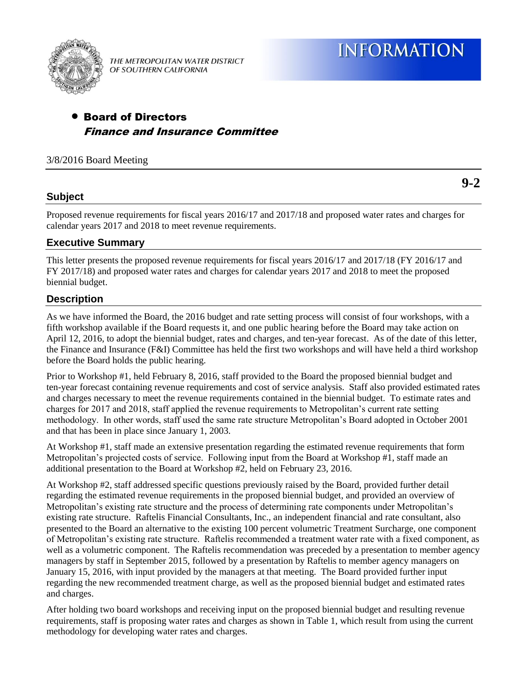

THE METROPOLITAN WATER DISTRICT OF SOUTHERN CALIFORNIA

# Board of Directors Finance and Insurance Committee

3/8/2016 Board Meeting

## **Subject**

Proposed revenue requirements for fiscal years 2016/17 and 2017/18 and proposed water rates and charges for calendar years 2017 and 2018 to meet revenue requirements.

# **Executive Summary**

This letter presents the proposed revenue requirements for fiscal years 2016/17 and 2017/18 (FY 2016/17 and FY 2017/18) and proposed water rates and charges for calendar years 2017 and 2018 to meet the proposed biennial budget.

# **Description**

As we have informed the Board, the 2016 budget and rate setting process will consist of four workshops, with a fifth workshop available if the Board requests it, and one public hearing before the Board may take action on April 12, 2016, to adopt the biennial budget, rates and charges, and ten-year forecast. As of the date of this letter, the Finance and Insurance (F&I) Committee has held the first two workshops and will have held a third workshop before the Board holds the public hearing.

Prior to Workshop #1, held February 8, 2016, staff provided to the Board the proposed biennial budget and ten-year forecast containing revenue requirements and cost of service analysis. Staff also provided estimated rates and charges necessary to meet the revenue requirements contained in the biennial budget. To estimate rates and charges for 2017 and 2018, staff applied the revenue requirements to Metropolitan's current rate setting methodology. In other words, staff used the same rate structure Metropolitan's Board adopted in October 2001 and that has been in place since January 1, 2003.

At Workshop #1, staff made an extensive presentation regarding the estimated revenue requirements that form Metropolitan's projected costs of service. Following input from the Board at Workshop #1, staff made an additional presentation to the Board at Workshop #2, held on February 23, 2016.

At Workshop #2, staff addressed specific questions previously raised by the Board, provided further detail regarding the estimated revenue requirements in the proposed biennial budget, and provided an overview of Metropolitan's existing rate structure and the process of determining rate components under Metropolitan's existing rate structure. Raftelis Financial Consultants, Inc., an independent financial and rate consultant, also presented to the Board an alternative to the existing 100 percent volumetric Treatment Surcharge, one component of Metropolitan's existing rate structure. Raftelis recommended a treatment water rate with a fixed component, as well as a volumetric component. The Raftelis recommendation was preceded by a presentation to member agency managers by staff in September 2015, followed by a presentation by Raftelis to member agency managers on January 15, 2016, with input provided by the managers at that meeting. The Board provided further input regarding the new recommended treatment charge, as well as the proposed biennial budget and estimated rates and charges.

After holding two board workshops and receiving input on the proposed biennial budget and resulting revenue requirements, staff is proposing water rates and charges as shown in Table 1, which result from using the current methodology for developing water rates and charges.

**9-2**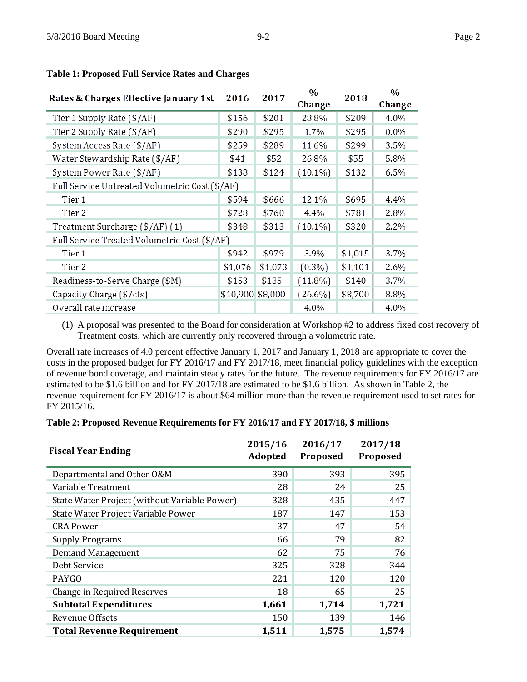| Rates & Charges Effective January 1st          | 2016             | 2017    | $\frac{0}{0}$<br>Change | 2018    | $\frac{0}{0}$<br>Change |
|------------------------------------------------|------------------|---------|-------------------------|---------|-------------------------|
| Tier 1 Supply Rate (\$/AF)                     | \$156            | \$201   | 28.8%                   | \$209   | 4.0%                    |
| Tier 2 Supply Rate (\$/AF)                     | \$290            | \$295   | 1.7%                    | \$295   | $0.0\%$                 |
| System Access Rate (\$/AF)                     | \$259            | \$289   | 11.6%                   | \$299   | 3.5%                    |
| Water Stewardship Rate (\$/AF)                 | \$41             | \$52    | 26.8%                   | \$55    | 5.8%                    |
| System Power Rate (\$/AF)                      | \$138            | \$124   | $(10.1\%)$              | \$132   | 6.5%                    |
| Full Service Untreated Volumetric Cost (\$/AF) |                  |         |                         |         |                         |
| Tier 1                                         | \$594            | \$666   | 12.1%                   | \$695   | 4.4%                    |
| Tier 2                                         | \$728            | \$760   | 4.4%                    | \$781   | 2.8%                    |
| Treatment Surcharge (\$/AF) (1)                | \$348            | \$313   | $(10.1\%)$              | \$320   | 2.2%                    |
| Full Service Treated Volumetric Cost (\$/AF)   |                  |         |                         |         |                         |
| Tier 1                                         | \$942            | \$979   | 3.9%                    | \$1,015 | 3.7%                    |
| Tier 2                                         | \$1,076          | \$1,073 | $(0.3\%)$               | \$1,101 | 2.6%                    |
| Readiness-to-Serve Charge (\$M)                | \$153            | \$135   | $(11.8\%)$              | \$140   | 3.7%                    |
| Capacity Charge (\$/cfs)                       | \$10,900 \$8,000 |         | $(26.6\%)$              | \$8,700 | 8.8%                    |
| Overall rate increase                          |                  |         | 4.0%                    |         | 4.0%                    |

#### **Table 1: Proposed Full Service Rates and Charges**

(1) A proposal was presented to the Board for consideration at Workshop #2 to address fixed cost recovery of Treatment costs, which are currently only recovered through a volumetric rate.

Overall rate increases of 4.0 percent effective January 1, 2017 and January 1, 2018 are appropriate to cover the costs in the proposed budget for FY 2016/17 and FY 2017/18, meet financial policy guidelines with the exception of revenue bond coverage, and maintain steady rates for the future. The revenue requirements for FY 2016/17 are estimated to be \$1.6 billion and for FY 2017/18 are estimated to be \$1.6 billion. As shown in Table 2, the revenue requirement for FY 2016/17 is about \$64 million more than the revenue requirement used to set rates for FY 2015/16.

#### **Table 2: Proposed Revenue Requirements for FY 2016/17 and FY 2017/18, \$ millions**

| <b>Fiscal Year Ending</b>                    | 2015/16<br>Adopted | 2016/17<br>Proposed | 2017/18<br>Proposed |
|----------------------------------------------|--------------------|---------------------|---------------------|
| Departmental and Other O&M                   | 390                | 393                 | 395                 |
| Variable Treatment                           | 28                 | 24                  | 25                  |
| State Water Project (without Variable Power) | 328                | 435                 | 447                 |
| State Water Project Variable Power           | 187                | 147                 | 153                 |
| <b>CRA Power</b>                             | 37                 | 47                  | 54                  |
| <b>Supply Programs</b>                       | 66                 | 79                  | 82                  |
| <b>Demand Management</b>                     | 62                 | 75                  | 76                  |
| Debt Service                                 | 325                | 328                 | 344                 |
| PAYGO                                        | 221                | 120                 | 120                 |
| Change in Required Reserves                  | 18                 | 65                  | 25                  |
| <b>Subtotal Expenditures</b>                 | 1,661              | 1,714               | 1,721               |
| Revenue Offsets                              | 150                | 139                 | 146                 |
| <b>Total Revenue Requirement</b>             | 1,511              | 1,575               | 1,574               |